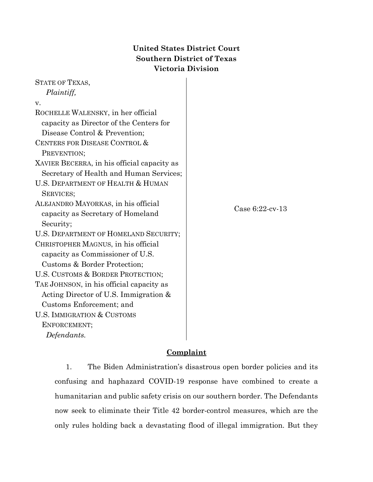# **United States District Court Southern District of Texas Victoria Division**

| <b>STATE OF TEXAS,</b>                      |                    |
|---------------------------------------------|--------------------|
| Plaintiff,                                  |                    |
| v.                                          |                    |
| ROCHELLE WALENSKY, in her official          |                    |
| capacity as Director of the Centers for     |                    |
| Disease Control & Prevention;               |                    |
| CENTERS FOR DISEASE CONTROL &               |                    |
| PREVENTION;                                 |                    |
| XAVIER BECERRA, in his official capacity as |                    |
| Secretary of Health and Human Services;     |                    |
| U.S. DEPARTMENT OF HEALTH & HUMAN           |                    |
| SERVICES;                                   |                    |
| ALEJANDRO MAYORKAS, in his official         | Case $6:22$ -cv-13 |
| capacity as Secretary of Homeland           |                    |
| Security;                                   |                    |
| U.S. DEPARTMENT OF HOMELAND SECURITY;       |                    |
| CHRISTOPHER MAGNUS, in his official         |                    |
| capacity as Commissioner of U.S.            |                    |
| Customs & Border Protection;                |                    |
| U.S. CUSTOMS & BORDER PROTECTION;           |                    |
| TAE JOHNSON, in his official capacity as    |                    |
| Acting Director of U.S. Immigration &       |                    |
| Customs Enforcement; and                    |                    |
| U.S. IMMIGRATION & CUSTOMS                  |                    |
| ENFORCEMENT;                                |                    |
| Defendants.                                 |                    |

# **Complaint**

1. The Biden Administration's disastrous open border policies and its confusing and haphazard COVID-19 response have combined to create a humanitarian and public safety crisis on our southern border. The Defendants now seek to eliminate their Title 42 border-control measures, which are the only rules holding back a devastating flood of illegal immigration. But they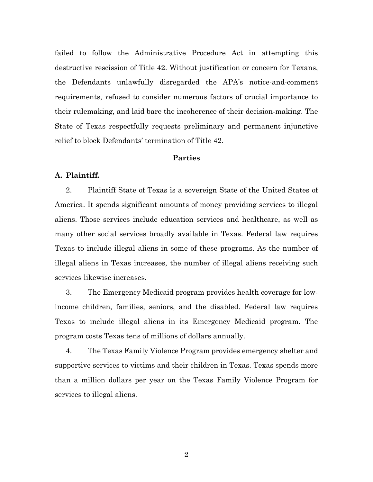failed to follow the Administrative Procedure Act in attempting this destructive rescission of Title 42. Without justification or concern for Texans, the Defendants unlawfully disregarded the APA's notice-and-comment requirements, refused to consider numerous factors of crucial importance to their rulemaking, and laid bare the incoherence of their decision-making. The State of Texas respectfully requests preliminary and permanent injunctive relief to block Defendants' termination of Title 42.

# **Parties**

## **A. Plaintiff.**

2. Plaintiff State of Texas is a sovereign State of the United States of America. It spends significant amounts of money providing services to illegal aliens. Those services include education services and healthcare, as well as many other social services broadly available in Texas. Federal law requires Texas to include illegal aliens in some of these programs. As the number of illegal aliens in Texas increases, the number of illegal aliens receiving such services likewise increases.

3. The Emergency Medicaid program provides health coverage for lowincome children, families, seniors, and the disabled. Federal law requires Texas to include illegal aliens in its Emergency Medicaid program. The program costs Texas tens of millions of dollars annually.

4. The Texas Family Violence Program provides emergency shelter and supportive services to victims and their children in Texas. Texas spends more than a million dollars per year on the Texas Family Violence Program for services to illegal aliens.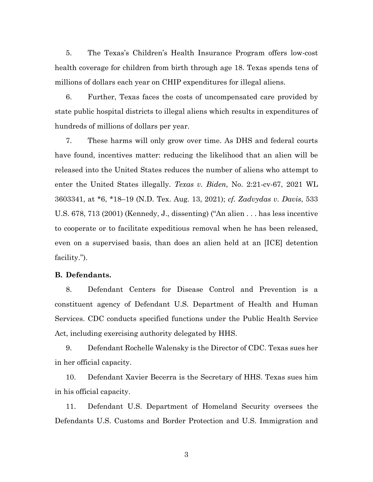5. The Texas's Children's Health Insurance Program offers low-cost health coverage for children from birth through age 18. Texas spends tens of millions of dollars each year on CHIP expenditures for illegal aliens.

6. Further, Texas faces the costs of uncompensated care provided by state public hospital districts to illegal aliens which results in expenditures of hundreds of millions of dollars per year.

7. These harms will only grow over time. As DHS and federal courts have found, incentives matter: reducing the likelihood that an alien will be released into the United States reduces the number of aliens who attempt to enter the United States illegally. *Texas v. Biden*, No. 2:21-cv-67, 2021 WL 3603341, at \*6, \*18–19 (N.D. Tex. Aug. 13, 2021); *cf. Zadvydas v. Davis*, 533 U.S. 678, 713 (2001) (Kennedy, J., dissenting) ("An alien . . . has less incentive to cooperate or to facilitate expeditious removal when he has been released, even on a supervised basis, than does an alien held at an [ICE] detention facility.").

## **B. Defendants.**

8. Defendant Centers for Disease Control and Prevention is a constituent agency of Defendant U.S. Department of Health and Human Services. CDC conducts specified functions under the Public Health Service Act, including exercising authority delegated by HHS.

9. Defendant Rochelle Walensky is the Director of CDC. Texas sues her in her official capacity.

10. Defendant Xavier Becerra is the Secretary of HHS. Texas sues him in his official capacity.

11. Defendant U.S. Department of Homeland Security oversees the Defendants U.S. Customs and Border Protection and U.S. Immigration and

3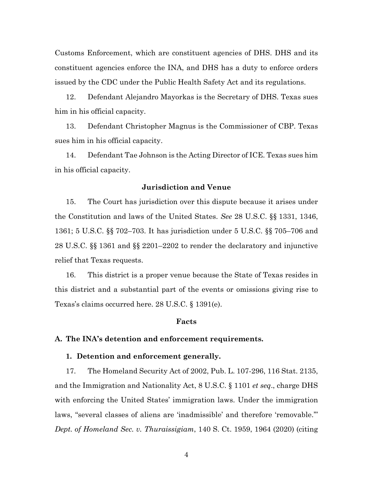Customs Enforcement, which are constituent agencies of DHS. DHS and its constituent agencies enforce the INA, and DHS has a duty to enforce orders issued by the CDC under the Public Health Safety Act and its regulations.

12. Defendant Alejandro Mayorkas is the Secretary of DHS. Texas sues him in his official capacity.

13. Defendant Christopher Magnus is the Commissioner of CBP. Texas sues him in his official capacity.

14. Defendant Tae Johnson is the Acting Director of ICE. Texas sues him in his official capacity.

# **Jurisdiction and Venue**

15. The Court has jurisdiction over this dispute because it arises under the Constitution and laws of the United States. *See* 28 U.S.C. §§ 1331, 1346, 1361; 5 U.S.C. §§ 702–703. It has jurisdiction under 5 U.S.C. §§ 705–706 and 28 U.S.C. §§ 1361 and §§ 2201–2202 to render the declaratory and injunctive relief that Texas requests.

16. This district is a proper venue because the State of Texas resides in this district and a substantial part of the events or omissions giving rise to Texas's claims occurred here. 28 U.S.C. § 1391(e).

#### **Facts**

#### **A. The INA's detention and enforcement requirements.**

#### **1. Detention and enforcement generally.**

17. The Homeland Security Act of 2002, Pub. L. 107-296, 116 Stat. 2135, and the Immigration and Nationality Act, 8 U.S.C. § 1101 *et seq*., charge DHS with enforcing the United States' immigration laws. Under the immigration laws, "several classes of aliens are 'inadmissible' and therefore 'removable.'" *Dept. of Homeland Sec. v. Thuraissigiam*, 140 S. Ct. 1959, 1964 (2020) (citing

4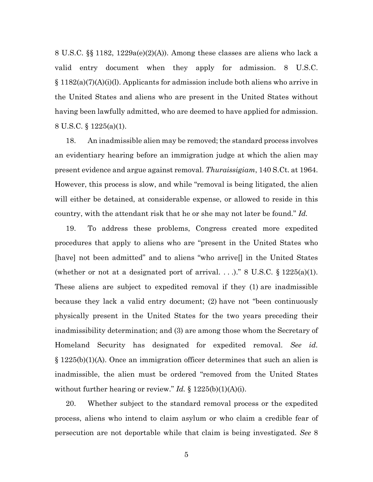8 U.S.C. §§ 1182, 1229a(e)(2)(A)). Among these classes are aliens who lack a valid entry document when they apply for admission. 8 U.S.C. § 1182(a)(7)(A)(i)(l). Applicants for admission include both aliens who arrive in the United States and aliens who are present in the United States without having been lawfully admitted, who are deemed to have applied for admission. 8 U.S.C. § 1225(a)(1).

18. An inadmissible alien may be removed; the standard process involves an evidentiary hearing before an immigration judge at which the alien may present evidence and argue against removal. *Thuraissigiam*, 140 S.Ct. at 1964. However, this process is slow, and while "removal is being litigated, the alien will either be detained, at considerable expense, or allowed to reside in this country, with the attendant risk that he or she may not later be found." *Id.*

19. To address these problems, Congress created more expedited procedures that apply to aliens who are "present in the United States who [have] not been admitted" and to aliens "who arrive[] in the United States (whether or not at a designated port of arrival. . . .)." 8 U.S.C.  $\S 1225(a)(1)$ . These aliens are subject to expedited removal if they (1) are inadmissible because they lack a valid entry document; (2) have not "been continuously physically present in the United States for the two years preceding their inadmissibility determination; and (3) are among those whom the Secretary of Homeland Security has designated for expedited removal. *See id.* § 1225(b)(1)(A). Once an immigration officer determines that such an alien is inadmissible, the alien must be ordered "removed from the United States without further hearing or review." *Id.* § 1225(b)(1)(A)(i).

20. Whether subject to the standard removal process or the expedited process, aliens who intend to claim asylum or who claim a credible fear of persecution are not deportable while that claim is being investigated. *See* 8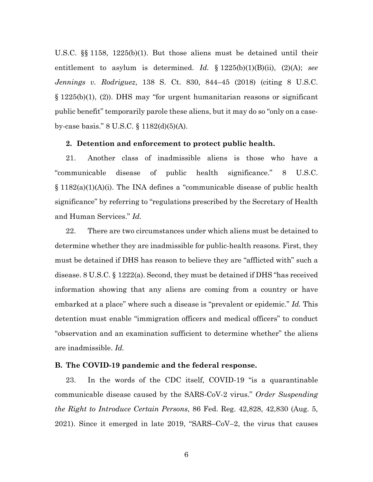U.S.C. §§ 1158, 1225(b)(1). But those aliens must be detained until their entitlement to asylum is determined. *Id.* § 1225(b)(1)(B)(ii), (2)(A); *see Jennings v. Rodriguez*, 138 S. Ct. 830, 844–45 (2018) (citing 8 U.S.C. § 1225(b)(1), (2)). DHS may "for urgent humanitarian reasons or significant public benefit" temporarily parole these aliens, but it may do so "only on a caseby-case basis." 8 U.S.C. § 1182(d)(5)(A).

#### **2. Detention and enforcement to protect public health.**

21. Another class of inadmissible aliens is those who have a "communicable disease of public health significance." 8 U.S.C. § 1182(a)(1)(A)(i). The INA defines a "communicable disease of public health significance" by referring to "regulations prescribed by the Secretary of Health and Human Services." *Id.*

22. There are two circumstances under which aliens must be detained to determine whether they are inadmissible for public-health reasons. First, they must be detained if DHS has reason to believe they are "afflicted with" such a disease. 8 U.S.C. § 1222(a). Second, they must be detained if DHS "has received information showing that any aliens are coming from a country or have embarked at a place" where such a disease is "prevalent or epidemic." *Id.* This detention must enable "immigration officers and medical officers" to conduct "observation and an examination sufficient to determine whether" the aliens are inadmissible. *Id.*

# **B. The COVID-19 pandemic and the federal response.**

23. In the words of the CDC itself, COVID-19 "is a quarantinable communicable disease caused by the SARS-CoV-2 virus." *Order Suspending the Right to Introduce Certain Persons*, 86 Fed. Reg. 42,828, 42,830 (Aug. 5, 2021). Since it emerged in late 2019, "SARS–CoV–2, the virus that causes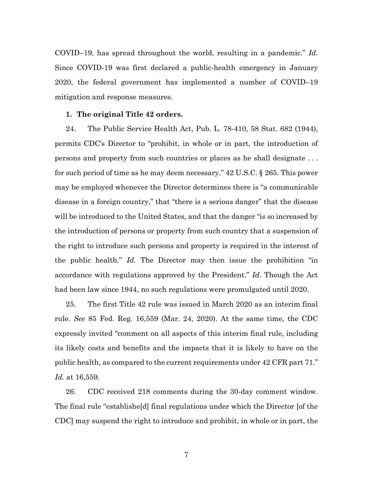COVID–19, has spread throughout the world, resulting in a pandemic." *Id.* Since COVID-19 was first declared a public-health emergency in January 2020, the federal government has implemented a number of COVID–19 mitigation and response measures.

#### **1. The original Title 42 orders.**

24. The Public Service Health Act, Pub. L. 78-410, 58 Stat. 682 (1944), permits CDC's Director to "prohibit, in whole or in part, the introduction of persons and property from such countries or places as he shall designate . . . for such period of time as he may deem necessary." 42 U.S.C. § 265. This power may be employed whenever the Director determines there is "a communicable disease in a foreign country," that "there is a serious danger" that the disease will be introduced to the United States, and that the danger "is so increased by the introduction of persons or property from such country that a suspension of the right to introduce such persons and property is required in the interest of the public health." *Id.* The Director may then issue the prohibition "in accordance with regulations approved by the President." *Id.* Though the Act had been law since 1944, no such regulations were promulgated until 2020.

25. The first Title 42 rule was issued in March 2020 as an interim final rule. *See* 85 Fed. Reg. 16,559 (Mar. 24, 2020). At the same time, the CDC expressly invited "comment on all aspects of this interim final rule, including its likely costs and benefits and the impacts that it is likely to have on the public health, as compared to the current requirements under 42 CFR part 71." *Id.* at 16,559.

26. CDC received 218 comments during the 30-day comment window. The final rule "establishe[d] final regulations under which the Director [of the CDC] may suspend the right to introduce and prohibit, in whole or in part, the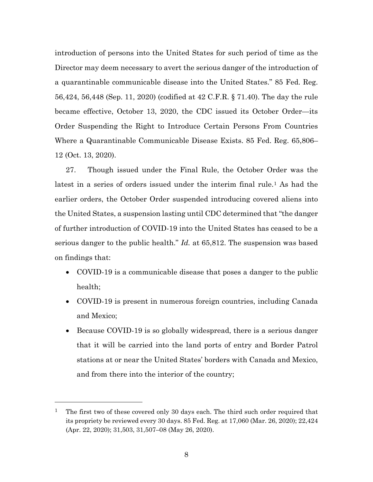introduction of persons into the United States for such period of time as the Director may deem necessary to avert the serious danger of the introduction of a quarantinable communicable disease into the United States." 85 Fed. Reg. 56,424, 56,448 (Sep. 11, 2020) (codified at 42 C.F.R. § 71.40). The day the rule became effective, October 13, 2020, the CDC issued its October Order—its Order Suspending the Right to Introduce Certain Persons From Countries Where a Quarantinable Communicable Disease Exists. 85 Fed. Reg. 65,806– 12 (Oct. 13, 2020).

27. Though issued under the Final Rule, the October Order was the latest in a series of orders issued under the interim final rule.<sup>[1](#page-7-0)</sup> As had the earlier orders, the October Order suspended introducing covered aliens into the United States, a suspension lasting until CDC determined that "the danger of further introduction of COVID-19 into the United States has ceased to be a serious danger to the public health." *Id.* at 65,812. The suspension was based on findings that:

- COVID-19 is a communicable disease that poses a danger to the public health;
- COVID-19 is present in numerous foreign countries, including Canada and Mexico;
- Because COVID-19 is so globally widespread, there is a serious danger that it will be carried into the land ports of entry and Border Patrol stations at or near the United States' borders with Canada and Mexico, and from there into the interior of the country;

<span id="page-7-0"></span><sup>1</sup> The first two of these covered only 30 days each. The third such order required that its propriety be reviewed every 30 days. 85 Fed. Reg. at 17,060 (Mar. 26, 2020); 22,424 (Apr. 22, 2020); 31,503, 31,507–08 (May 26, 2020).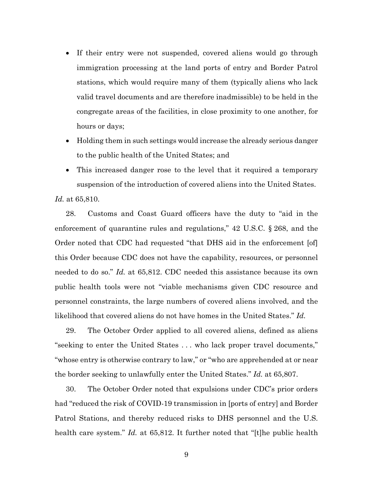- If their entry were not suspended, covered aliens would go through immigration processing at the land ports of entry and Border Patrol stations, which would require many of them (typically aliens who lack valid travel documents and are therefore inadmissible) to be held in the congregate areas of the facilities, in close proximity to one another, for hours or days;
- Holding them in such settings would increase the already serious danger to the public health of the United States; and
- This increased danger rose to the level that it required a temporary suspension of the introduction of covered aliens into the United States.

*Id.* at 65,810.

28. Customs and Coast Guard officers have the duty to "aid in the enforcement of quarantine rules and regulations," 42 U.S.C. § 268, and the Order noted that CDC had requested "that DHS aid in the enforcement [of] this Order because CDC does not have the capability, resources, or personnel needed to do so." *Id.* at 65,812. CDC needed this assistance because its own public health tools were not "viable mechanisms given CDC resource and personnel constraints, the large numbers of covered aliens involved, and the likelihood that covered aliens do not have homes in the United States." *Id.* 

29. The October Order applied to all covered aliens, defined as aliens "seeking to enter the United States . . . who lack proper travel documents," "whose entry is otherwise contrary to law," or "who are apprehended at or near the border seeking to unlawfully enter the United States." *Id.* at 65,807.

30. The October Order noted that expulsions under CDC's prior orders had "reduced the risk of COVID-19 transmission in [ports of entry] and Border Patrol Stations, and thereby reduced risks to DHS personnel and the U.S. health care system." *Id.* at 65,812. It further noted that "[t]he public health

9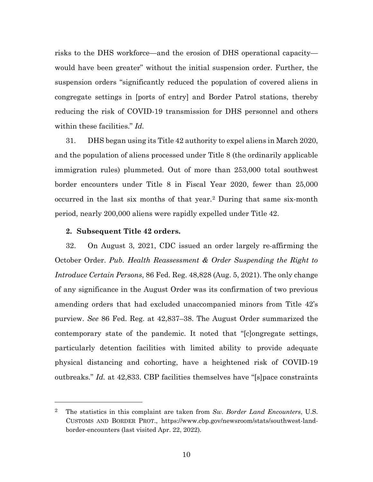risks to the DHS workforce—and the erosion of DHS operational capacity would have been greater" without the initial suspension order. Further, the suspension orders "significantly reduced the population of covered aliens in congregate settings in [ports of entry] and Border Patrol stations, thereby reducing the risk of COVID-19 transmission for DHS personnel and others within these facilities." *Id.* 

31. DHS began using its Title 42 authority to expel aliens in March 2020, and the population of aliens processed under Title 8 (the ordinarily applicable immigration rules) plummeted. Out of more than 253,000 total southwest border encounters under Title 8 in Fiscal Year 2020, fewer than 25,000 occurred in the last six months of that year.[2](#page-9-0) During that same six-month period, nearly 200,000 aliens were rapidly expelled under Title 42.

## **2. Subsequent Title 42 orders.**

32. On August 3, 2021, CDC issued an order largely re-affirming the October Order. *Pub. Health Reassessment & Order Suspending the Right to Introduce Certain Persons*, 86 Fed. Reg. 48,828 (Aug. 5, 2021). The only change of any significance in the August Order was its confirmation of two previous amending orders that had excluded unaccompanied minors from Title 42's purview. *See* 86 Fed. Reg. at 42,837–38. The August Order summarized the contemporary state of the pandemic. It noted that "[c]ongregate settings, particularly detention facilities with limited ability to provide adequate physical distancing and cohorting, have a heightened risk of COVID-19 outbreaks." *Id.* at 42,833. CBP facilities themselves have "[s]pace constraints

<span id="page-9-0"></span><sup>2</sup> The statistics in this complaint are taken from *Sw. Border Land Encounters*, U.S. CUSTOMS AND BORDER PROT., https://www.cbp.gov/newsroom/stats/southwest-landborder-encounters (last visited Apr. 22, 2022).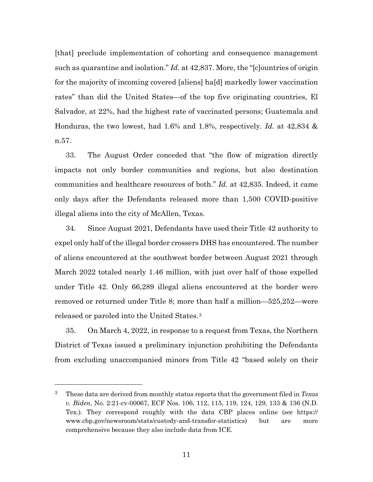[that] preclude implementation of cohorting and consequence management such as quarantine and isolation." *Id.* at 42,837. More, the "[c]ountries of origin for the majority of incoming covered [aliens] ha[d] markedly lower vaccination rates" than did the United States—of the top five originating countries, El Salvador, at 22%, had the highest rate of vaccinated persons; Guatemala and Honduras, the two lowest, had 1.6% and 1.8%, respectively. *Id.* at 42,834 & n.57.

33. The August Order conceded that "the flow of migration directly impacts not only border communities and regions, but also destination communities and healthcare resources of both." *Id.* at 42,835. Indeed, it came only days after the Defendants released more than 1,500 COVID-positive illegal aliens into the city of McAllen, Texas.

34. Since August 2021, Defendants have used their Title 42 authority to expel only half of the illegal border crossers DHS has encountered. The number of aliens encountered at the southwest border between August 2021 through March 2022 totaled nearly 1.46 million, with just over half of those expelled under Title 42. Only 66,289 illegal aliens encountered at the border were removed or returned under Title 8; more than half a million—525,252—were released or paroled into the United States.[3](#page-10-0)

35. On March 4, 2022, in response to a request from Texas, the Northern District of Texas issued a preliminary injunction prohibiting the Defendants from excluding unaccompanied minors from Title 42 "based solely on their

<span id="page-10-0"></span><sup>3</sup> These data are derived from monthly status reports that the government filed in *Texas v. Biden*, No. 2:21-cv-00067, ECF Nos. 106, 112, 115, 119, 124, 129, 133 & 136 (N.D. Tex.). They correspond roughly with the data CBP places online (*see* https:// www.cbp.gov/newsroom/stats/custody-and-transfer-statistics) but are more comprehensive because they also include data from ICE.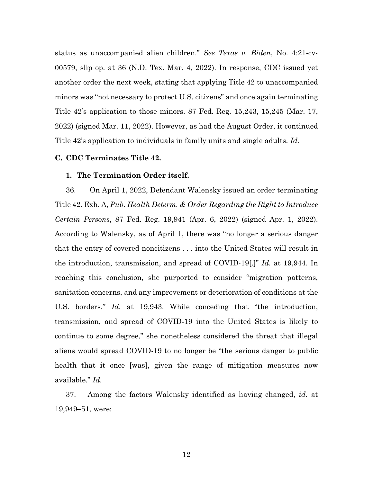status as unaccompanied alien children." *See Texas v. Biden*, No. 4:21-cv-00579, slip op. at 36 (N.D. Tex. Mar. 4, 2022). In response, CDC issued yet another order the next week, stating that applying Title 42 to unaccompanied minors was "not necessary to protect U.S. citizens" and once again terminating Title 42's application to those minors. 87 Fed. Reg. 15,243, 15,245 (Mar. 17, 2022) (signed Mar. 11, 2022). However, as had the August Order, it continued Title 42's application to individuals in family units and single adults. *Id.*

# **C. CDC Terminates Title 42.**

## **1. The Termination Order itself.**

36. On April 1, 2022, Defendant Walensky issued an order terminating Title 42. Exh. A, *Pub. Health Determ. & Order Regarding the Right to Introduce Certain Persons*, 87 Fed. Reg. 19,941 (Apr. 6, 2022) (signed Apr. 1, 2022). According to Walensky, as of April 1, there was "no longer a serious danger that the entry of covered noncitizens . . . into the United States will result in the introduction, transmission, and spread of COVID-19[.]" *Id.* at 19,944. In reaching this conclusion, she purported to consider "migration patterns, sanitation concerns, and any improvement or deterioration of conditions at the U.S. borders." *Id.* at 19,943. While conceding that "the introduction, transmission, and spread of COVID-19 into the United States is likely to continue to some degree," she nonetheless considered the threat that illegal aliens would spread COVID-19 to no longer be "the serious danger to public health that it once [was], given the range of mitigation measures now available." *Id.*

37. Among the factors Walensky identified as having changed, *id.* at 19,949–51, were: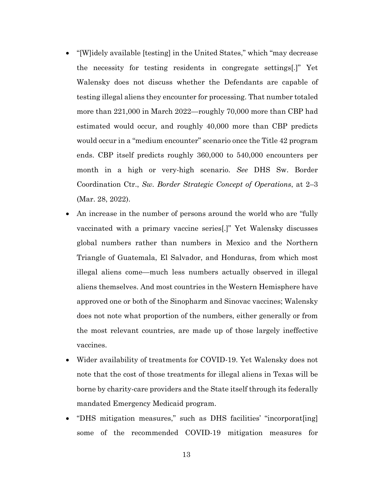- "[W]idely available [testing] in the United States," which "may decrease" the necessity for testing residents in congregate settings[.]" Yet Walensky does not discuss whether the Defendants are capable of testing illegal aliens they encounter for processing. That number totaled more than 221,000 in March 2022—roughly 70,000 more than CBP had estimated would occur, and roughly 40,000 more than CBP predicts would occur in a "medium encounter" scenario once the Title 42 program ends. CBP itself predicts roughly 360,000 to 540,000 encounters per month in a high or very-high scenario. *See* DHS Sw. Border Coordination Ctr., *Sw. Border Strategic Concept of Operations*, at 2–3 (Mar. 28, 2022).
- An increase in the number of persons around the world who are "fully vaccinated with a primary vaccine series[.]" Yet Walensky discusses global numbers rather than numbers in Mexico and the Northern Triangle of Guatemala, El Salvador, and Honduras, from which most illegal aliens come—much less numbers actually observed in illegal aliens themselves. And most countries in the Western Hemisphere have approved one or both of the Sinopharm and Sinovac vaccines; Walensky does not note what proportion of the numbers, either generally or from the most relevant countries, are made up of those largely ineffective vaccines.
- Wider availability of treatments for COVID-19. Yet Walensky does not note that the cost of those treatments for illegal aliens in Texas will be borne by charity-care providers and the State itself through its federally mandated Emergency Medicaid program.
- "DHS mitigation measures," such as DHS facilities' "incorporat[ing] some of the recommended COVID-19 mitigation measures for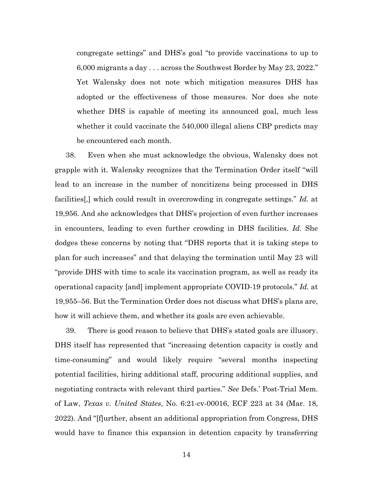congregate settings" and DHS's goal "to provide vaccinations to up to 6,000 migrants a day . . . across the Southwest Border by May 23, 2022." Yet Walensky does not note which mitigation measures DHS has adopted or the effectiveness of those measures. Nor does she note whether DHS is capable of meeting its announced goal, much less whether it could vaccinate the 540,000 illegal aliens CBP predicts may be encountered each month.

38. Even when she must acknowledge the obvious, Walensky does not grapple with it. Walensky recognizes that the Termination Order itself "will lead to an increase in the number of noncitizens being processed in DHS facilities[,] which could result in overcrowding in congregate settings." *Id.* at 19,956. And she acknowledges that DHS's projection of even further increases in encounters, leading to even further crowding in DHS facilities. *Id.* She dodges these concerns by noting that "DHS reports that it is taking steps to plan for such increases" and that delaying the termination until May 23 will "provide DHS with time to scale its vaccination program, as well as ready its operational capacity [and] implement appropriate COVID-19 protocols." *Id.* at 19,955–56. But the Termination Order does not discuss what DHS's plans are, how it will achieve them, and whether its goals are even achievable.

39. There is good reason to believe that DHS's stated goals are illusory. DHS itself has represented that "increasing detention capacity is costly and time-consuming" and would likely require "several months inspecting potential facilities, hiring additional staff, procuring additional supplies, and negotiating contracts with relevant third parties." *See* Defs.' Post-Trial Mem. of Law, *Texas v. United States*, No. 6:21-cv-00016, ECF 223 at 34 (Mar. 18, 2022). And "[f]urther, absent an additional appropriation from Congress, DHS would have to finance this expansion in detention capacity by transferring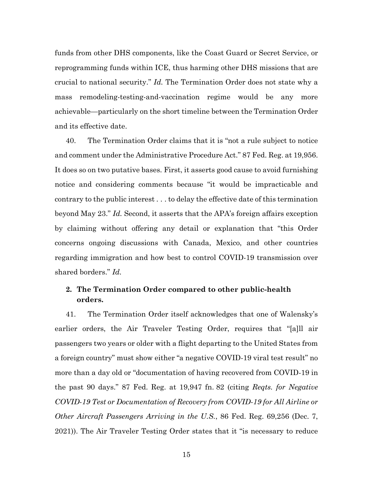funds from other DHS components, like the Coast Guard or Secret Service, or reprogramming funds within ICE, thus harming other DHS missions that are crucial to national security." *Id.* The Termination Order does not state why a mass remodeling-testing-and-vaccination regime would be any more achievable—particularly on the short timeline between the Termination Order and its effective date.

40. The Termination Order claims that it is "not a rule subject to notice and comment under the Administrative Procedure Act." 87 Fed. Reg. at 19,956. It does so on two putative bases. First, it asserts good cause to avoid furnishing notice and considering comments because "it would be impracticable and contrary to the public interest . . . to delay the effective date of this termination beyond May 23." *Id.* Second, it asserts that the APA's foreign affairs exception by claiming without offering any detail or explanation that "this Order concerns ongoing discussions with Canada, Mexico, and other countries regarding immigration and how best to control COVID-19 transmission over shared borders." *Id.*

# **2. The Termination Order compared to other public-health orders.**

41. The Termination Order itself acknowledges that one of Walensky's earlier orders, the Air Traveler Testing Order, requires that "[a]ll air passengers two years or older with a flight departing to the United States from a foreign country" must show either "a negative COVID-19 viral test result" no more than a day old or "documentation of having recovered from COVID-19 in the past 90 days." 87 Fed. Reg. at 19,947 fn. 82 (citing *Reqts. for Negative COVID-19 Test or Documentation of Recovery from COVID-19 for All Airline or Other Aircraft Passengers Arriving in the U.S.*, 86 Fed. Reg. 69,256 (Dec. 7, 2021)). The Air Traveler Testing Order states that it "is necessary to reduce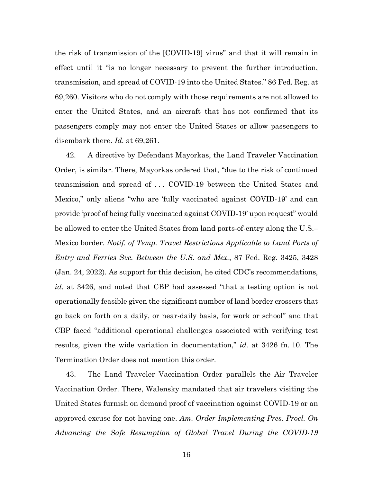the risk of transmission of the [COVID-19] virus" and that it will remain in effect until it "is no longer necessary to prevent the further introduction, transmission, and spread of COVID-19 into the United States." 86 Fed. Reg. at 69,260. Visitors who do not comply with those requirements are not allowed to enter the United States, and an aircraft that has not confirmed that its passengers comply may not enter the United States or allow passengers to disembark there. *Id.* at 69,261.

42. A directive by Defendant Mayorkas, the Land Traveler Vaccination Order, is similar. There, Mayorkas ordered that, "due to the risk of continued transmission and spread of . . . COVID-19 between the United States and Mexico," only aliens "who are 'fully vaccinated against COVID-19' and can provide 'proof of being fully vaccinated against COVID-19' upon request" would be allowed to enter the United States from land ports-of-entry along the U.S.– Mexico border. *Notif. of Temp. Travel Restrictions Applicable to Land Ports of Entry and Ferries Svc. Between the U.S. and Mex.*, 87 Fed. Reg. 3425, 3428 (Jan. 24, 2022). As support for this decision, he cited CDC's recommendations, *id.* at 3426, and noted that CBP had assessed "that a testing option is not operationally feasible given the significant number of land border crossers that go back on forth on a daily, or near-daily basis, for work or school" and that CBP faced "additional operational challenges associated with verifying test results, given the wide variation in documentation," *id.* at 3426 fn. 10. The Termination Order does not mention this order.

43. The Land Traveler Vaccination Order parallels the Air Traveler Vaccination Order. There, Walensky mandated that air travelers visiting the United States furnish on demand proof of vaccination against COVID-19 or an approved excuse for not having one. *Am. Order Implementing Pres. Procl. On Advancing the Safe Resumption of Global Travel During the COVID-19*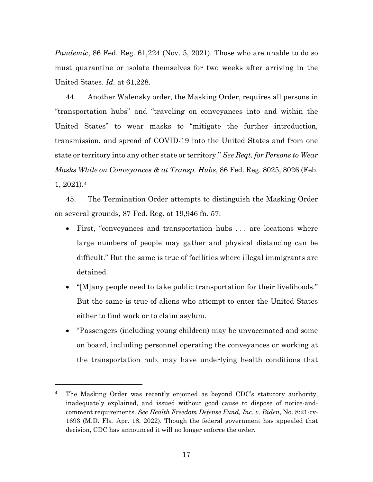*Pandemic*, 86 Fed. Reg. 61,224 (Nov. 5, 2021). Those who are unable to do so must quarantine or isolate themselves for two weeks after arriving in the United States. *Id.* at 61,228.

44. Another Walensky order, the Masking Order, requires all persons in "transportation hubs" and "traveling on conveyances into and within the United States" to wear masks to "mitigate the further introduction, transmission, and spread of COVID-19 into the United States and from one state or territory into any other state or territory." *See Reqt. for Persons to Wear Masks While on Conveyances & at Transp. Hubs*, 86 Fed. Reg. 8025, 8026 (Feb. 1, 2021).[4](#page-16-0)

45. The Termination Order attempts to distinguish the Masking Order on several grounds, 87 Fed. Reg. at 19,946 fn. 57:

- First, "conveyances and transportation hubs ... are locations where large numbers of people may gather and physical distancing can be difficult." But the same is true of facilities where illegal immigrants are detained.
- "[M]any people need to take public transportation for their livelihoods." But the same is true of aliens who attempt to enter the United States either to find work or to claim asylum.
- "Passengers (including young children) may be unvaccinated and some on board, including personnel operating the conveyances or working at the transportation hub, may have underlying health conditions that

<span id="page-16-0"></span><sup>&</sup>lt;sup>4</sup> The Masking Order was recently enjoined as beyond CDC's statutory authority, inadequately explained, and issued without good cause to dispose of notice-andcomment requirements. *See Health Freedom Defense Fund, Inc. v. Biden*, No. 8:21-cv-1693 (M.D. Fla. Apr. 18, 2022). Though the federal government has appealed that decision, CDC has announced it will no longer enforce the order.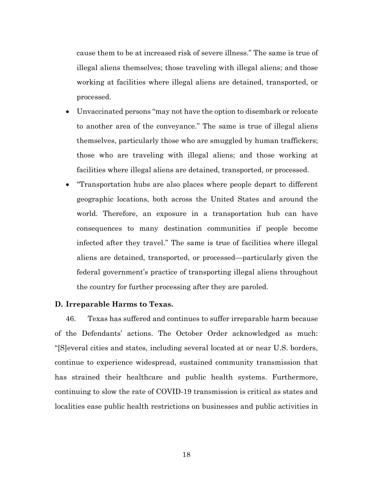cause them to be at increased risk of severe illness." The same is true of illegal aliens themselves; those traveling with illegal aliens; and those working at facilities where illegal aliens are detained, transported, or processed.

- Unvaccinated persons "may not have the option to disembark or relocate to another area of the conveyance." The same is true of illegal aliens themselves, particularly those who are smuggled by human traffickers; those who are traveling with illegal aliens; and those working at facilities where illegal aliens are detained, transported, or processed.
- "Transportation hubs are also places where people depart to different geographic locations, both across the United States and around the world. Therefore, an exposure in a transportation hub can have consequences to many destination communities if people become infected after they travel." The same is true of facilities where illegal aliens are detained, transported, or processed—particularly given the federal government's practice of transporting illegal aliens throughout the country for further processing after they are paroled.

# **D. Irreparable Harms to Texas.**

46. Texas has suffered and continues to suffer irreparable harm because of the Defendants' actions. The October Order acknowledged as much: "[S]everal cities and states, including several located at or near U.S. borders, continue to experience widespread, sustained community transmission that has strained their healthcare and public health systems. Furthermore, continuing to slow the rate of COVID-19 transmission is critical as states and localities ease public health restrictions on businesses and public activities in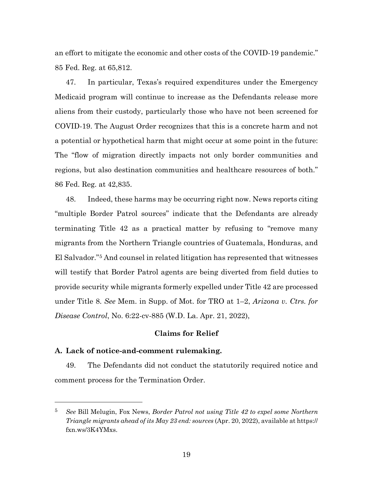an effort to mitigate the economic and other costs of the COVID-19 pandemic." 85 Fed. Reg. at 65,812.

47. In particular, Texas's required expenditures under the Emergency Medicaid program will continue to increase as the Defendants release more aliens from their custody, particularly those who have not been screened for COVID-19. The August Order recognizes that this is a concrete harm and not a potential or hypothetical harm that might occur at some point in the future: The "flow of migration directly impacts not only border communities and regions, but also destination communities and healthcare resources of both." 86 Fed. Reg. at 42,835.

48. Indeed, these harms may be occurring right now. News reports citing "multiple Border Patrol sources" indicate that the Defendants are already terminating Title 42 as a practical matter by refusing to "remove many migrants from the Northern Triangle countries of Guatemala, Honduras, and El Salvador."[5](#page-18-0) And counsel in related litigation has represented that witnesses will testify that Border Patrol agents are being diverted from field duties to provide security while migrants formerly expelled under Title 42 are processed under Title 8. *See* Mem. in Supp. of Mot. for TRO at 1–2, *Arizona v. Ctrs. for Disease Control*, No. 6:22-cv-885 (W.D. La. Apr. 21, 2022),

## **Claims for Relief**

## **A. Lack of notice-and-comment rulemaking.**

49. The Defendants did not conduct the statutorily required notice and comment process for the Termination Order.

<span id="page-18-0"></span><sup>5</sup> *See* Bill Melugin, Fox News, *Border Patrol not using Title 42 to expel some Northern Triangle migrants ahead of its May 23 end: sources* (Apr. 20, 2022), available at https:// fxn.ws/3K4YMxs.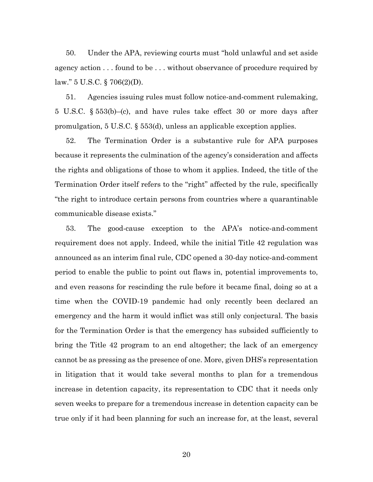50. Under the APA, reviewing courts must "hold unlawful and set aside agency action . . . found to be . . . without observance of procedure required by law." 5 U.S.C. § 706(2)(D).

51. Agencies issuing rules must follow notice-and-comment rulemaking, 5 U.S.C. § 553(b)–(c), and have rules take effect 30 or more days after promulgation, 5 U.S.C. § 553(d), unless an applicable exception applies.

52. The Termination Order is a substantive rule for APA purposes because it represents the culmination of the agency's consideration and affects the rights and obligations of those to whom it applies. Indeed, the title of the Termination Order itself refers to the "right" affected by the rule, specifically "the right to introduce certain persons from countries where a quarantinable communicable disease exists."

53. The good-cause exception to the APA's notice-and-comment requirement does not apply. Indeed, while the initial Title 42 regulation was announced as an interim final rule, CDC opened a 30-day notice-and-comment period to enable the public to point out flaws in, potential improvements to, and even reasons for rescinding the rule before it became final, doing so at a time when the COVID-19 pandemic had only recently been declared an emergency and the harm it would inflict was still only conjectural. The basis for the Termination Order is that the emergency has subsided sufficiently to bring the Title 42 program to an end altogether; the lack of an emergency cannot be as pressing as the presence of one. More, given DHS's representation in litigation that it would take several months to plan for a tremendous increase in detention capacity, its representation to CDC that it needs only seven weeks to prepare for a tremendous increase in detention capacity can be true only if it had been planning for such an increase for, at the least, several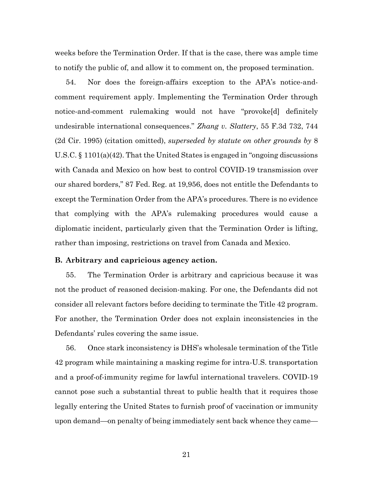weeks before the Termination Order. If that is the case, there was ample time to notify the public of, and allow it to comment on, the proposed termination.

54. Nor does the foreign-affairs exception to the APA's notice-andcomment requirement apply. Implementing the Termination Order through notice-and-comment rulemaking would not have "provoke[d] definitely undesirable international consequences." *Zhang v. Slattery*, 55 F.3d 732, 744 (2d Cir. 1995) (citation omitted), *superseded by statute on other grounds by* 8 U.S.C. § 1101(a)(42). That the United States is engaged in "ongoing discussions with Canada and Mexico on how best to control COVID-19 transmission over our shared borders," 87 Fed. Reg. at 19,956, does not entitle the Defendants to except the Termination Order from the APA's procedures. There is no evidence that complying with the APA's rulemaking procedures would cause a diplomatic incident, particularly given that the Termination Order is lifting, rather than imposing, restrictions on travel from Canada and Mexico.

## **B. Arbitrary and capricious agency action.**

55. The Termination Order is arbitrary and capricious because it was not the product of reasoned decision-making. For one, the Defendants did not consider all relevant factors before deciding to terminate the Title 42 program. For another, the Termination Order does not explain inconsistencies in the Defendants' rules covering the same issue.

56. Once stark inconsistency is DHS's wholesale termination of the Title 42 program while maintaining a masking regime for intra-U.S. transportation and a proof-of-immunity regime for lawful international travelers. COVID-19 cannot pose such a substantial threat to public health that it requires those legally entering the United States to furnish proof of vaccination or immunity upon demand—on penalty of being immediately sent back whence they came—

21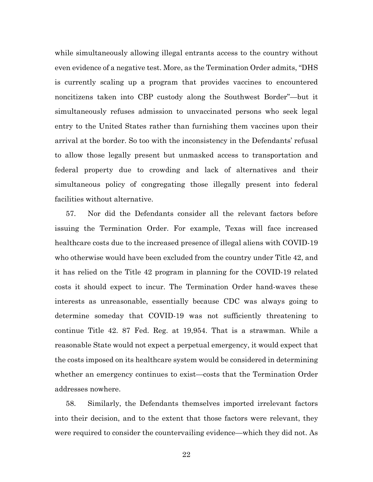while simultaneously allowing illegal entrants access to the country without even evidence of a negative test. More, as the Termination Order admits, "DHS is currently scaling up a program that provides vaccines to encountered noncitizens taken into CBP custody along the Southwest Border"—but it simultaneously refuses admission to unvaccinated persons who seek legal entry to the United States rather than furnishing them vaccines upon their arrival at the border. So too with the inconsistency in the Defendants' refusal to allow those legally present but unmasked access to transportation and federal property due to crowding and lack of alternatives and their simultaneous policy of congregating those illegally present into federal facilities without alternative.

57. Nor did the Defendants consider all the relevant factors before issuing the Termination Order. For example, Texas will face increased healthcare costs due to the increased presence of illegal aliens with COVID-19 who otherwise would have been excluded from the country under Title 42, and it has relied on the Title 42 program in planning for the COVID-19 related costs it should expect to incur. The Termination Order hand-waves these interests as unreasonable, essentially because CDC was always going to determine someday that COVID-19 was not sufficiently threatening to continue Title 42. 87 Fed. Reg. at 19,954. That is a strawman. While a reasonable State would not expect a perpetual emergency, it would expect that the costs imposed on its healthcare system would be considered in determining whether an emergency continues to exist—costs that the Termination Order addresses nowhere.

58. Similarly, the Defendants themselves imported irrelevant factors into their decision, and to the extent that those factors were relevant, they were required to consider the countervailing evidence—which they did not. As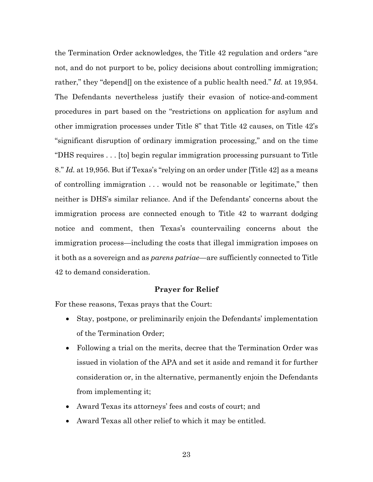the Termination Order acknowledges, the Title 42 regulation and orders "are not, and do not purport to be, policy decisions about controlling immigration; rather," they "depend[] on the existence of a public health need." *Id.* at 19,954. The Defendants nevertheless justify their evasion of notice-and-comment procedures in part based on the "restrictions on application for asylum and other immigration processes under Title 8" that Title 42 causes, on Title 42's "significant disruption of ordinary immigration processing," and on the time "DHS requires . . . [to] begin regular immigration processing pursuant to Title 8." *Id.* at 19,956. But if Texas's "relying on an order under [Title 42] as a means of controlling immigration . . . would not be reasonable or legitimate," then neither is DHS's similar reliance. And if the Defendants' concerns about the immigration process are connected enough to Title 42 to warrant dodging notice and comment, then Texas's countervailing concerns about the immigration process—including the costs that illegal immigration imposes on it both as a sovereign and as *parens patriae*—are sufficiently connected to Title 42 to demand consideration.

## **Prayer for Relief**

For these reasons, Texas prays that the Court:

- Stay, postpone, or preliminarily enjoin the Defendants' implementation of the Termination Order;
- Following a trial on the merits, decree that the Termination Order was issued in violation of the APA and set it aside and remand it for further consideration or, in the alternative, permanently enjoin the Defendants from implementing it;
- Award Texas its attorneys' fees and costs of court; and
- Award Texas all other relief to which it may be entitled.